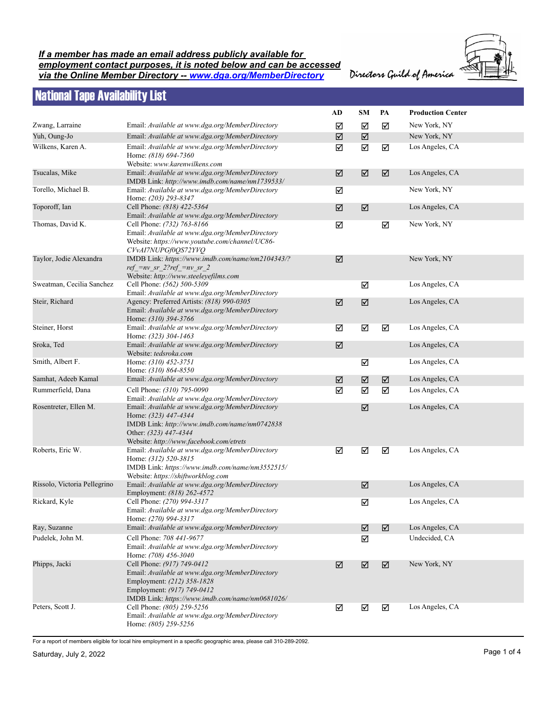## *If a member has made an email address publicly available for employment contact purposes, it is noted below and can be accessed via the Online Member Directory -- www.dga.org/MemberDirectory*

Directors Guild of America

## National Tape Availability List

|                              |                                                                                                                                                                                              | AD                      | <b>SM</b>            | PA | <b>Production Center</b> |
|------------------------------|----------------------------------------------------------------------------------------------------------------------------------------------------------------------------------------------|-------------------------|----------------------|----|--------------------------|
| Zwang, Larraine              | Email: Available at www.dga.org/MemberDirectory                                                                                                                                              | ☑                       | ☑                    | ☑  | New York, NY             |
| Yuh, Oung-Jo                 | Email: Available at www.dga.org/MemberDirectory                                                                                                                                              | ☑                       | $\boxed{\mathbf{Z}}$ |    | New York, NY             |
| Wilkens, Karen A.            | Email: Available at www.dga.org/MemberDirectory<br>Home: (818) 694-7360<br>Website: www.karenwilkens.com                                                                                     | ☑                       | $\boxtimes$          | ☑  | Los Angeles, CA          |
| Tsucalas, Mike               | Email: Available at www.dga.org/MemberDirectory<br>IMDB Link: http://www.imdb.com/name/nm1739533/                                                                                            | ☑                       | ☑                    | ☑  | Los Angeles, CA          |
| Torello, Michael B.          | Email: Available at www.dga.org/MemberDirectory<br>Home: (203) 293-8347                                                                                                                      | ☑                       |                      |    | New York, NY             |
| Toporoff, Ian                | Cell Phone: (818) 422-5364<br>Email: Available at www.dga.org/MemberDirectory                                                                                                                | ☑                       | $\boxed{\mathbf{v}}$ |    | Los Angeles, CA          |
| Thomas, David K.             | Cell Phone: (732) 763-8166<br>Email: Available at www.dga.org/MemberDirectory<br>Website: https://www.youtube.com/channel/UC86-<br>CVvAI7NUPGf0QS72YVQ                                       | ☑                       |                      | ☑  | New York, NY             |
| Taylor, Jodie Alexandra      | IMDB Link: https://www.imdb.com/name/nm2104343/?<br>$ref = nv sr 2?ref = nv sr 2$<br>Website: http://www.steeleyefilms.com                                                                   | ☑                       |                      |    | New York, NY             |
| Sweatman, Cecilia Sanchez    | Cell Phone: (562) 500-5309<br>Email: Available at www.dga.org/MemberDirectory                                                                                                                |                         | ☑                    |    | Los Angeles, CA          |
| Steir, Richard               | Agency: Preferred Artists: (818) 990-0305<br>Email: Available at www.dga.org/MemberDirectory<br>Home: (310) 394-3766                                                                         | ☑                       | ☑                    |    | Los Angeles, CA          |
| Steiner, Horst               | Email: Available at www.dga.org/MemberDirectory<br>Home: (323) 304-1463                                                                                                                      | ☑                       | ☑                    | ☑  | Los Angeles, CA          |
| Sroka, Ted                   | Email: Available at www.dga.org/MemberDirectory<br>Website: tedsroka.com                                                                                                                     | $\overline{\mathbf{M}}$ |                      |    | Los Angeles, CA          |
| Smith, Albert F.             | Home: (310) 452-3751<br>Home: (310) 864-8550                                                                                                                                                 |                         | ☑                    |    | Los Angeles, CA          |
| Samhat, Adeeb Kamal          | Email: Available at www.dga.org/MemberDirectory                                                                                                                                              | ☑                       | $\boxed{\mathbf{v}}$ | ☑  | Los Angeles, CA          |
| Rummerfield, Dana            | Cell Phone: (310) 795-0090<br>Email: Available at www.dga.org/MemberDirectory                                                                                                                | ☑                       | ☑                    | ☑  | Los Angeles, CA          |
| Rosentreter, Ellen M.        | Email: Available at www.dga.org/MemberDirectory<br>Home: (323) 447-4344<br>IMDB Link: http://www.imdb.com/name/nm0742838<br>Other: (323) 447-4344<br>Website: http://www.facebook.com/etrets |                         | ☑                    |    | Los Angeles, CA          |
| Roberts, Eric W.             | Email: Available at www.dga.org/MemberDirectory<br>Home: (312) 520-3815<br>IMDB Link: https://www.imdb.com/name/nm3552515/<br>Website: https://shiftworkblog.com                             | ☑                       | ☑                    | ☑  | Los Angeles, CA          |
| Rissolo, Victoria Pellegrino | Email: Available at www.dga.org/MemberDirectory<br>Employment: (818) 262-4572                                                                                                                |                         | ☑                    |    | Los Angeles, CA          |
| Rickard, Kyle                | Cell Phone: (270) 994-3317<br>Email: Available at www.dga.org/MemberDirectory<br>Home: (270) 994-3317                                                                                        |                         | ☑                    |    | Los Angeles, CA          |
| Ray, Suzanne                 | Email: Available at www.dga.org/MemberDirectory                                                                                                                                              |                         | ☑                    | ☑  | Los Angeles, CA          |
| Pudelek, John M.             | Cell Phone: 708 441-9677<br>Email: Available at www.dga.org/MemberDirectory<br>Home: (708) 456-3040                                                                                          |                         | ☑                    |    | Undecided, CA            |
| Phipps, Jacki                | Cell Phone: (917) 749-0412<br>Email: Available at www.dga.org/MemberDirectory<br>Employment: (212) 358-1828<br>Employment: (917) 749-0412<br>IMDB Link: https://www.imdb.com/name/nm0681026/ | ☑                       | ☑                    | ☑  | New York, NY             |
| Peters, Scott J.             | Cell Phone: (805) 259-5256<br>Email: Available at www.dga.org/MemberDirectory<br>Home: (805) 259-5256                                                                                        | ☑                       | ☑                    | ☑  | Los Angeles, CA          |

For a report of members eligible for local hire employment in a specific geographic area, please call 310-289-2092.

Saturday, July 2, 2022 Page 1 of 4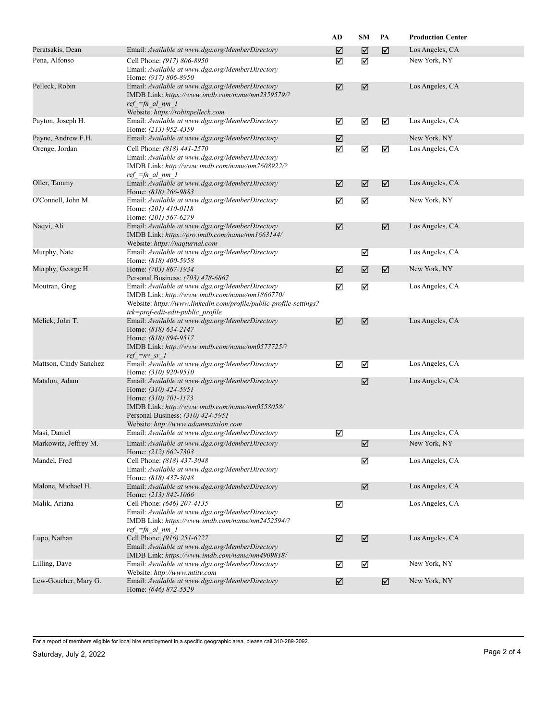|                        |                                                                                                                                                                                                                               | AD | <b>SM</b> | PA | <b>Production Center</b> |
|------------------------|-------------------------------------------------------------------------------------------------------------------------------------------------------------------------------------------------------------------------------|----|-----------|----|--------------------------|
| Peratsakis, Dean       | Email: Available at www.dga.org/MemberDirectory                                                                                                                                                                               | ☑  | ☑         | ☑  | Los Angeles, CA          |
| Pena, Alfonso          | Cell Phone: (917) 806-8950<br>Email: Available at www.dga.org/MemberDirectory<br>Home: (917) 806-8950                                                                                                                         | ☑  | ☑         |    | New York, NY             |
| Pelleck, Robin         | Email: Available at www.dga.org/MemberDirectory<br>IMDB Link: https://www.imdb.com/name/nm2359579/?<br>$ref =fn$ al nm 1<br>Website: https://robinpelleck.com                                                                 | ☑  | ☑         |    | Los Angeles, CA          |
| Payton, Joseph H.      | Email: Available at www.dga.org/MemberDirectory<br>Home: (213) 952-4359                                                                                                                                                       | ☑  | ☑         | ☑  | Los Angeles, CA          |
| Payne, Andrew F.H.     | Email: Available at www.dga.org/MemberDirectory                                                                                                                                                                               | ☑  |           |    | New York, NY             |
| Orenge, Jordan         | Cell Phone: (818) 441-2570<br>Email: Available at www.dga.org/MemberDirectory<br>IMDB Link: http://www.imdb.com/name/nm7608922/?<br>$ref =fn$ al nm 1                                                                         | ☑  | ☑         | ☑  | Los Angeles, CA          |
| Oller, Tammy           | Email: Available at www.dga.org/MemberDirectory<br>Home: (818) 266-9883                                                                                                                                                       | ☑  | ☑         | ☑  | Los Angeles, CA          |
| O'Connell, John M.     | Email: Available at www.dga.org/MemberDirectory<br>Home: (201) 410-0118<br>Home: (201) 567-6279                                                                                                                               | ☑  | ☑         |    | New York, NY             |
| Naqvi, Ali             | Email: Available at www.dga.org/MemberDirectory<br>IMDB Link: https://pro.imdb.com/name/nm1663144/<br>Website: https://naqturnal.com                                                                                          | ☑  |           | ☑  | Los Angeles, CA          |
| Murphy, Nate           | Email: Available at www.dga.org/MemberDirectory<br>Home: (818) 400-5958                                                                                                                                                       |    | ☑         |    | Los Angeles, CA          |
| Murphy, George H.      | Home: (703) 867-1934<br>Personal Business: (703) 478-6867                                                                                                                                                                     | ☑  | ☑         | ☑  | New York, NY             |
| Moutran, Greg          | Email: Available at www.dga.org/MemberDirectory<br>IMDB Link: http://www.imdb.com/name/nm1866770/<br>Website: https://www.linkedin.com/profile/public-profile-settings?<br>trk=prof-edit-edit-public profile                  | ☑  | ☑         |    | Los Angeles, CA          |
| Melick, John T.        | Email: Available at www.dga.org/MemberDirectory<br>Home: (818) 634-2147<br>Home: (818) 894-9517<br>IMDB Link: http://www.imdb.com/name/nm0577725/?<br>$ref = nv sr 1$                                                         | ☑  | ☑         |    | Los Angeles, CA          |
| Mattson, Cindy Sanchez | Email: Available at www.dga.org/MemberDirectory<br>Home: (310) 920-9510                                                                                                                                                       | ☑  | ☑         |    | Los Angeles, CA          |
| Matalon, Adam          | Email: Available at www.dga.org/MemberDirectory<br>Home: (310) 424-5951<br>Home: (310) 701-1173<br>IMDB Link: http://www.imdb.com/name/nm0558058/<br>Personal Business: (310) 424-5951<br>Website: http://www.adammatalon.com |    | ☑         |    | Los Angeles, CA          |
| Masi, Daniel           | Email: Available at www.dga.org/MemberDirectory                                                                                                                                                                               | ☑  |           |    | Los Angeles, CA          |
| Markowitz, Jeffrey M.  | Email: Available at www.dga.org/MemberDirectory<br>Home: (212) 662-7303                                                                                                                                                       |    | ☑         |    | New York, NY             |
| Mandel, Fred           | Cell Phone: (818) 437-3048<br>Email: Available at www.dga.org/MemberDirectory<br>Home: (818) 437-3048                                                                                                                         |    | ☑         |    | Los Angeles, CA          |
| Malone, Michael H.     | Email: Available at www.dga.org/MemberDirectory<br>Home: (213) 842-1066                                                                                                                                                       |    | ☑         |    | Los Angeles, CA          |
| Malik, Ariana          | Cell Phone: (646) 207-4135<br>Email: Available at www.dga.org/MemberDirectory<br>IMDB Link: https://www.imdb.com/name/nm2452594/?<br>$ref =fn$ al nm 1                                                                        | ☑  |           |    | Los Angeles, CA          |
| Lupo, Nathan           | Cell Phone: (916) 251-6227<br>Email: Available at www.dga.org/MemberDirectory<br>IMDB Link: https://www.imdb.com/name/nm4909818/                                                                                              | ☑  | ☑         |    | Los Angeles, CA          |
| Lilling, Dave          | Email: Available at www.dga.org/MemberDirectory<br>Website: http://www.mtitv.com                                                                                                                                              | ☑  | ☑         |    | New York, NY             |
| Lew-Goucher, Mary G.   | Email: Available at www.dga.org/MemberDirectory<br>Home: (646) 872-5529                                                                                                                                                       | ☑  |           | ☑  | New York, NY             |

For a report of members eligible for local hire employment in a specific geographic area, please call 310-289-2092.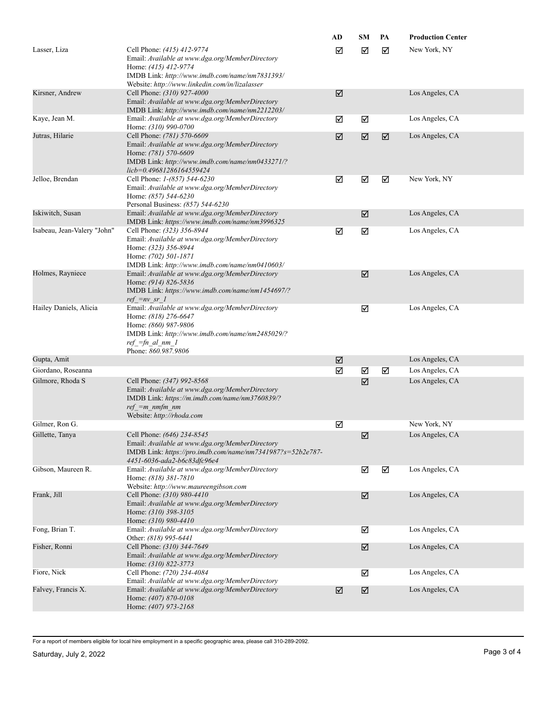|                             |                                                                                                                                                                                                           | AD | <b>SM</b> | PA | <b>Production Center</b> |
|-----------------------------|-----------------------------------------------------------------------------------------------------------------------------------------------------------------------------------------------------------|----|-----------|----|--------------------------|
| Lasser, Liza                | Cell Phone: (415) 412-9774<br>Email: Available at www.dga.org/MemberDirectory<br>Home: (415) 412-9774<br>IMDB Link: http://www.imdb.com/name/nm7831393/<br>Website: http://www.linkedin.com/in/lizalasser | ☑  | ☑         | ☑  | New York, NY             |
| Kirsner, Andrew             | Cell Phone: (310) 927-4000<br>Email: Available at www.dga.org/MemberDirectory<br>IMDB Link: http://www.imdb.com/name/nm2212203/                                                                           | ☑  |           |    | Los Angeles, CA          |
| Kaye, Jean M.               | Email: Available at www.dga.org/MemberDirectory<br>Home: (310) 990-0700                                                                                                                                   | ☑  | ☑         |    | Los Angeles, CA          |
| Jutras, Hilarie             | Cell Phone: (781) 570-6609<br>Email: Available at www.dga.org/MemberDirectory<br>Home: (781) 570-6609<br>IMDB Link: http://www.imdb.com/name/nm0433271/?<br>licb=0.49681286164559424                      | ☑  | ☑         | ☑  | Los Angeles, CA          |
| Jelloe, Brendan             | Cell Phone: 1-(857) 544-6230<br>Email: Available at www.dga.org/MemberDirectory<br>Home: (857) 544-6230<br>Personal Business: (857) 544-6230                                                              | ☑  | ☑         | ☑  | New York, NY             |
| Iskiwitch, Susan            | Email: Available at www.dga.org/MemberDirectory<br>IMDB Link: https://www.imdb.com/name/nm3996325                                                                                                         |    | ☑         |    | Los Angeles, CA          |
| Isabeau, Jean-Valery "John" | Cell Phone: (323) 356-8944<br>Email: Available at www.dga.org/MemberDirectory<br>Home: (323) 356-8944<br>Home: (702) 501-1871<br>IMDB Link: http://www.imdb.com/name/nm0410603/                           | ☑  | ☑         |    | Los Angeles, CA          |
| Holmes, Rayniece            | Email: Available at www.dga.org/MemberDirectory<br>Home: (914) 826-5836<br>IMDB Link: https://www.imdb.com/name/nm1454697/?<br>$ref = nv sr 1$                                                            |    | ☑         |    | Los Angeles, CA          |
| Hailey Daniels, Alicia      | Email: Available at www.dga.org/MemberDirectory<br>Home: (818) 276-6647<br>Home: (860) 987-9806<br>IMDB Link: http://www.imdb.com/name/nm2485029/?<br>$ref =fn$ al nm 1<br>Phone: 860.987.9806            |    | ☑         |    | Los Angeles, CA          |
| Gupta, Amit                 |                                                                                                                                                                                                           | ☑  |           |    | Los Angeles, CA          |
| Giordano, Roseanna          |                                                                                                                                                                                                           | ☑  | ☑         | ☑  | Los Angeles, CA          |
| Gilmore, Rhoda S            | Cell Phone: (347) 992-8568<br>Email: Available at www.dga.org/MemberDirectory<br>IMDB Link: https://m.imdb.com/name/nm3760839/?<br>$ref = m$ nmfm nm<br>Website: http://rhoda.com                         |    | ☑         |    | Los Angeles, CA          |
| Gilmer, Ron G.              |                                                                                                                                                                                                           | ☑  |           |    | New York, NY             |
| Gillette, Tanya             | Cell Phone: (646) 234-8545<br>Email: Available at www.dga.org/MemberDirectory<br>IMDB Link: https://pro.imdb.com/name/nm7341987?s=52b2e787-<br>4451-6036-ada2-b6c83dfc96e4                                |    | ☑         |    | Los Angeles, CA          |
| Gibson, Maureen R.          | Email: Available at www.dga.org/MemberDirectory<br>Home: (818) 381-7810<br>Website: http://www.maureengibson.com                                                                                          |    | ☑         | ☑  | Los Angeles, CA          |
| Frank, Jill                 | Cell Phone: (310) 980-4410<br>Email: Available at www.dga.org/MemberDirectory<br>Home: (310) 398-3105<br>Home: (310) 980-4410                                                                             |    | ☑         |    | Los Angeles, CA          |
| Fong, Brian T.              | Email: Available at www.dga.org/MemberDirectory<br>Other: (818) 995-6441                                                                                                                                  |    | ☑         |    | Los Angeles, CA          |
| Fisher, Ronni               | Cell Phone: (310) 344-7649<br>Email: Available at www.dga.org/MemberDirectory<br>Home: (310) 822-3773                                                                                                     |    | ☑         |    | Los Angeles, CA          |
| Fiore, Nick                 | Cell Phone: (720) 234-4084<br>Email: Available at www.dga.org/MemberDirectory                                                                                                                             |    | ☑         |    | Los Angeles, CA          |
| Falvey, Francis X.          | Email: Available at www.dga.org/MemberDirectory<br>Home: (407) 870-0108<br>Home: (407) 973-2168                                                                                                           | ☑  | ☑         |    | Los Angeles, CA          |

For a report of members eligible for local hire employment in a specific geographic area, please call 310-289-2092.